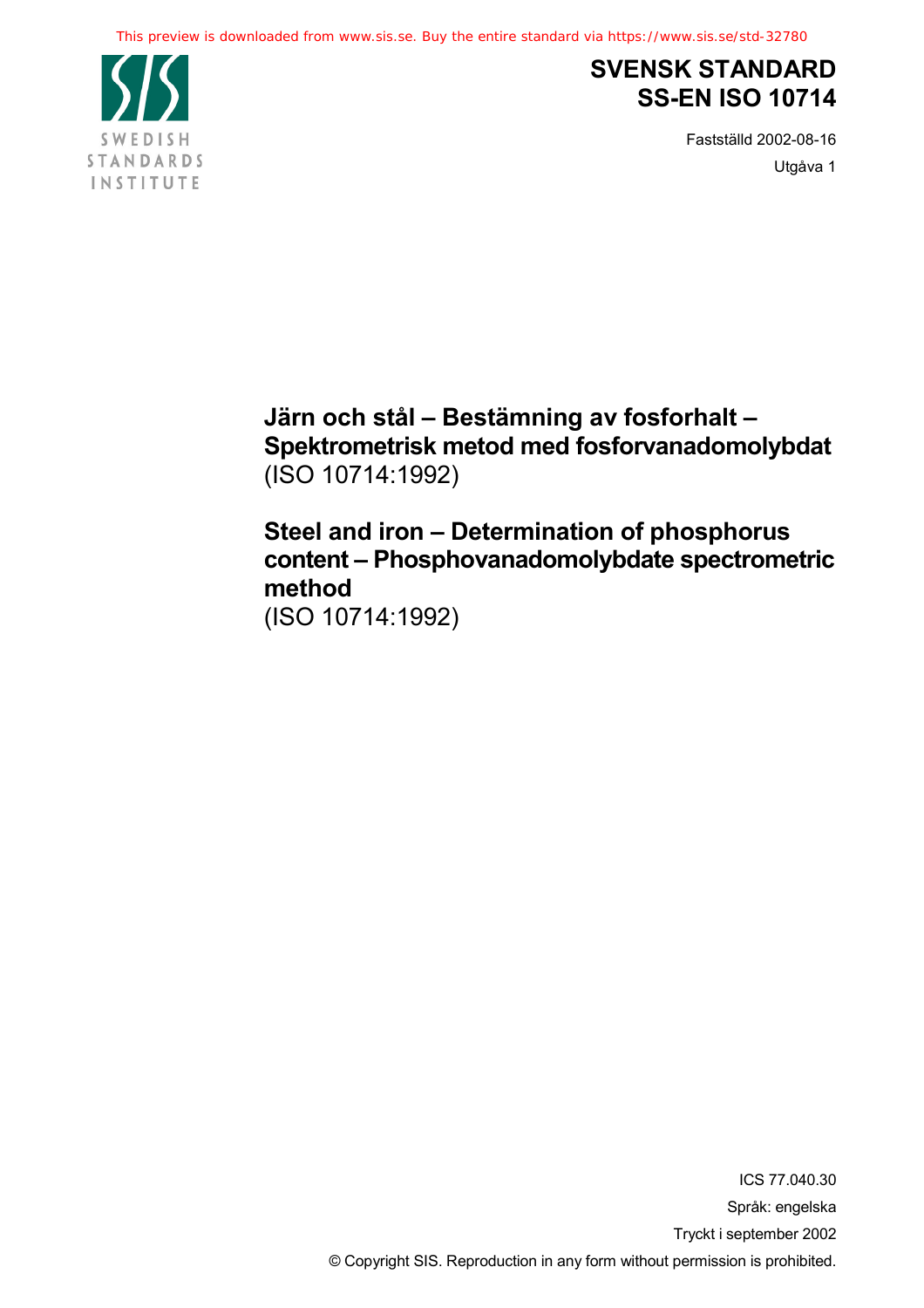

## **SVENSK STANDARD SS-EN ISO 10714**

Fastställd 2002-08-16 Utgåva 1

**Järn och stål – Bestämning av fosforhalt – Spektrometrisk metod med fosforvanadomolybdat** (ISO 10714:1992)

**Steel and iron – Determination of phosphorus content – Phosphovanadomolybdate spectrometric method** (ISO 10714:1992)

> ICS 77.040.30 Språk: engelska Tryckt i september 2002 © Copyright SIS. Reproduction in any form without permission is prohibited.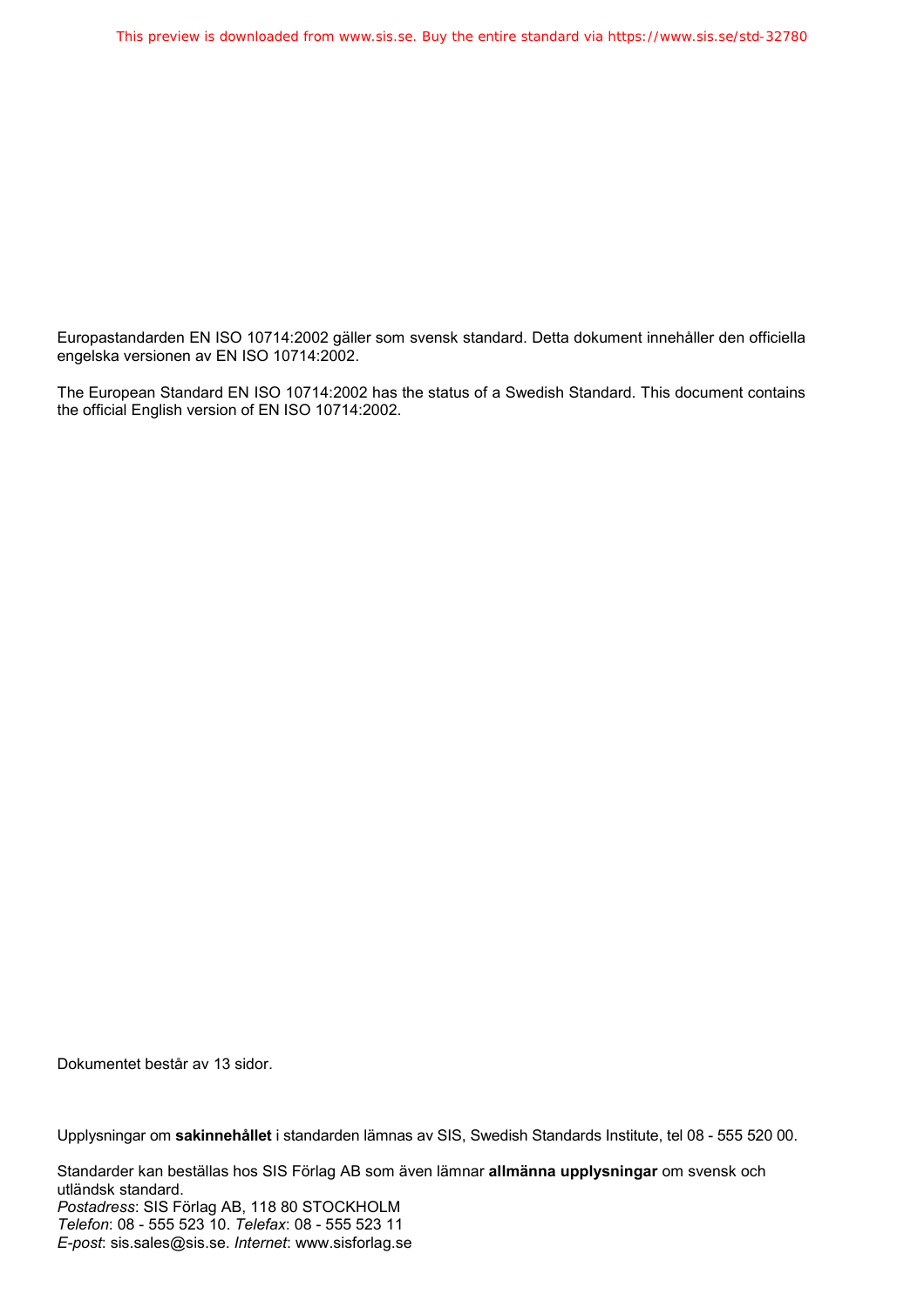Europastandarden EN ISO 10714:2002 gäller som svensk standard. Detta dokument innehåller den officiella engelska versionen av EN ISO 10714:2002.

The European Standard EN ISO 10714:2002 has the status of a Swedish Standard. This document contains the official English version of EN ISO 10714:2002.

Dokumentet består av 13 sidor.

Upplysningar om **sakinnehållet** i standarden lämnas av SIS, Swedish Standards Institute, tel 08 - 555 520 00.

Standarder kan beställas hos SIS Förlag AB som även lämnar **allmänna upplysningar** om svensk och utländsk standard. *Postadress*: SIS Förlag AB, 118 80 STOCKHOLM *Telefon*: 08 - 555 523 10. *Telefax*: 08 - 555 523 11 *E-post*: sis.sales@sis.se. *Internet*: www.sisforlag.se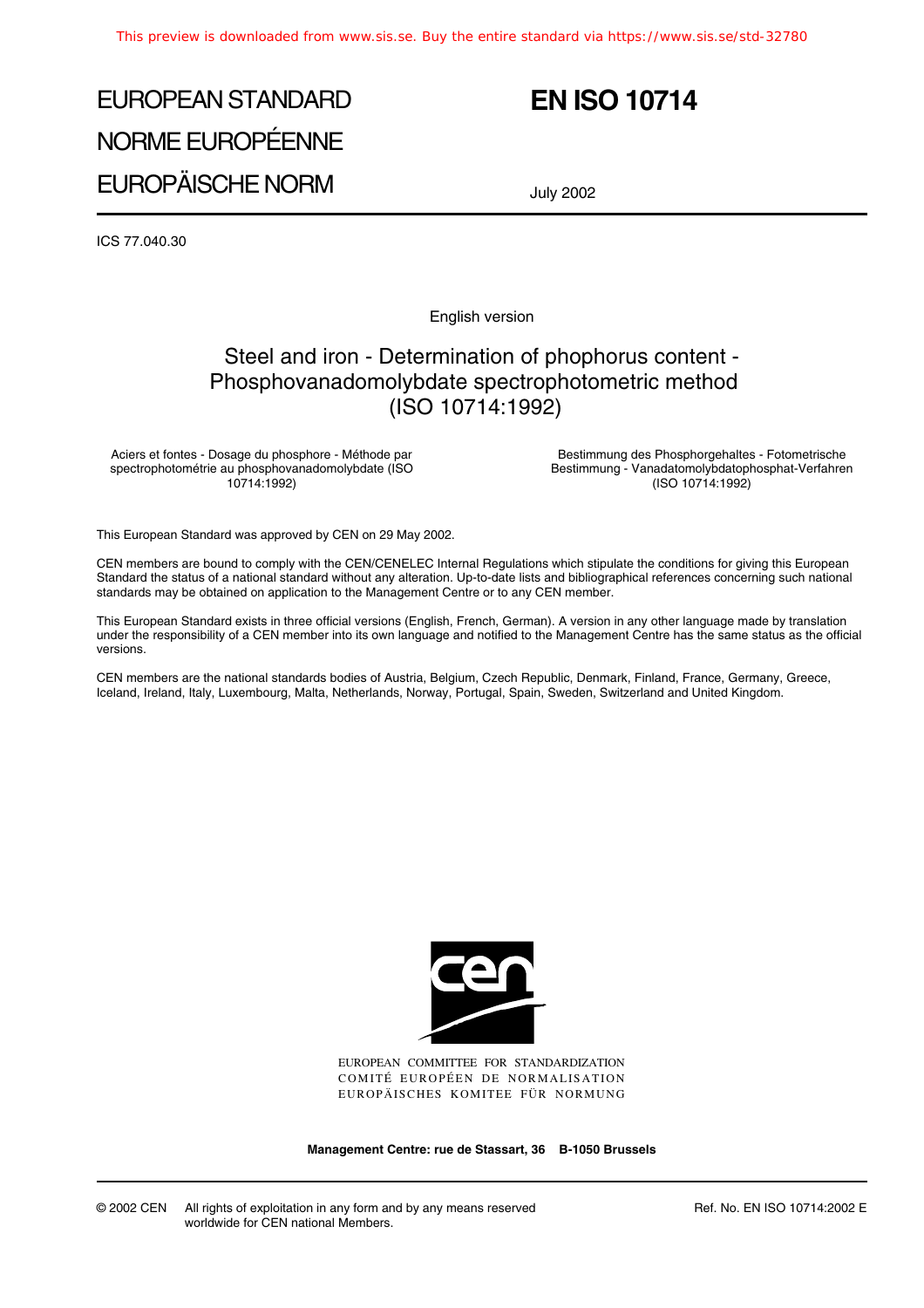# EUROPEAN STANDARD NORME EUROPÉENNE EUROPÄISCHE NORM

## **EN ISO 10714**

July 2002

ICS 77.040.30

English version

## Steel and iron - Determination of phophorus content - Phosphovanadomolybdate spectrophotometric method (ISO 10714:1992)

Aciers et fontes - Dosage du phosphore - Méthode par spectrophotométrie au phosphovanadomolybdate (ISO 10714:1992)

Bestimmung des Phosphorgehaltes - Fotometrische Bestimmung - Vanadatomolybdatophosphat-Verfahren (ISO 10714:1992)

This European Standard was approved by CEN on 29 May 2002.

CEN members are bound to comply with the CEN/CENELEC Internal Regulations which stipulate the conditions for giving this European Standard the status of a national standard without any alteration. Up-to-date lists and bibliographical references concerning such national standards may be obtained on application to the Management Centre or to any CEN member.

This European Standard exists in three official versions (English, French, German). A version in any other language made by translation under the responsibility of a CEN member into its own language and notified to the Management Centre has the same status as the official versions.

CEN members are the national standards bodies of Austria, Belgium, Czech Republic, Denmark, Finland, France, Germany, Greece, Iceland, Ireland, Italy, Luxembourg, Malta, Netherlands, Norway, Portugal, Spain, Sweden, Switzerland and United Kingdom.



EUROPEAN COMMITTEE FOR STANDARDIZATION COMITÉ EUROPÉEN DE NORMALISATION EUROPÄISCHES KOMITEE FÜR NORMUNG

**Management Centre: rue de Stassart, 36 B-1050 Brussels**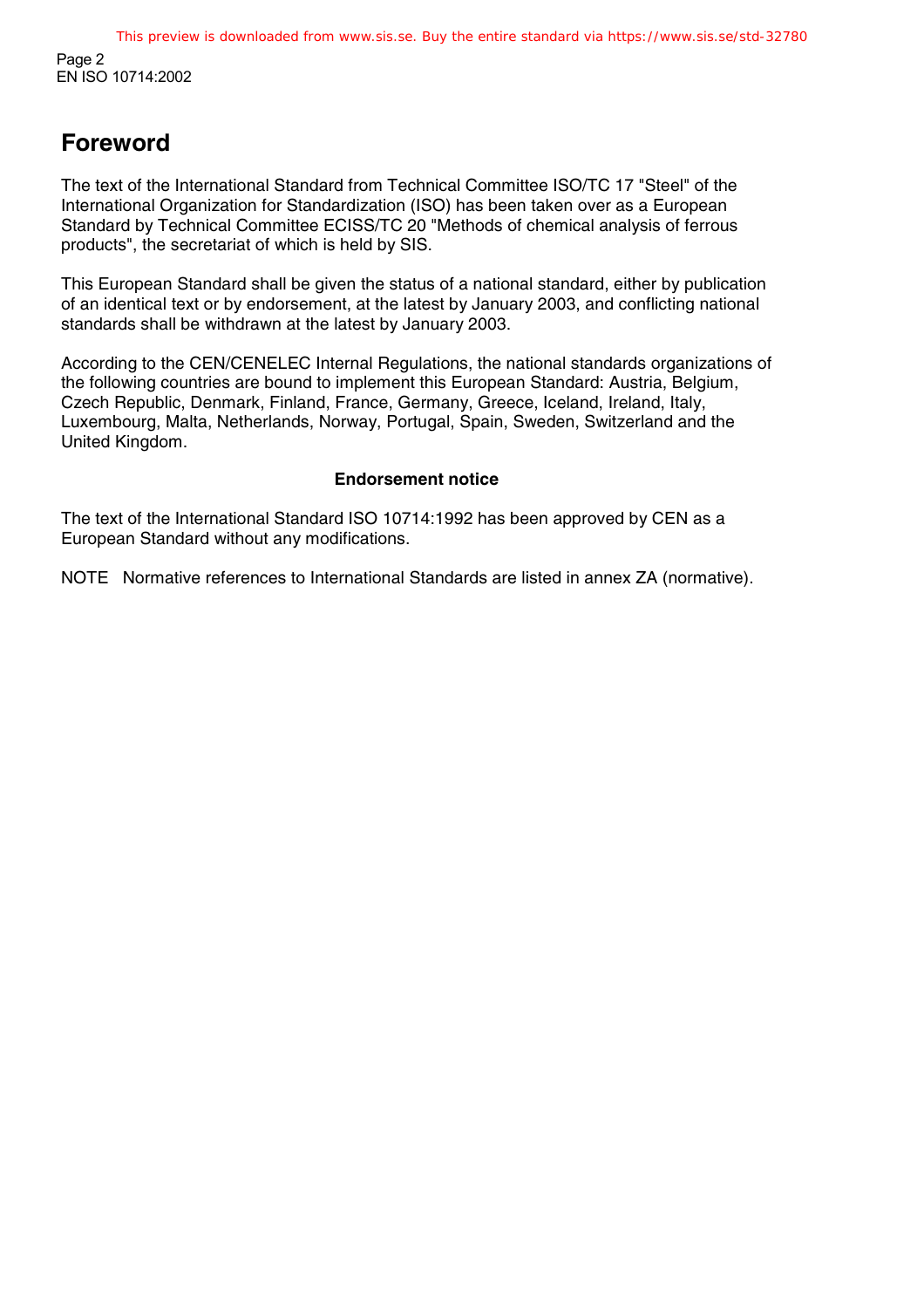## **Foreword**

The text of the International Standard from Technical Committee ISO/TC 17 "Steel" of the International Organization for Standardization (ISO) has been taken over as a European Standard by Technical Committee ECISS/TC 20 "Methods of chemical analysis of ferrous products", the secretariat of which is held by SIS.

This European Standard shall be given the status of a national standard, either by publication of an identical text or by endorsement, at the latest by January 2003, and conflicting national standards shall be withdrawn at the latest by January 2003.

According to the CEN/CENELEC Internal Regulations, the national standards organizations of the following countries are bound to implement this European Standard: Austria, Belgium, Czech Republic, Denmark, Finland, France, Germany, Greece, Iceland, Ireland, Italy, Luxembourg, Malta, Netherlands, Norway, Portugal, Spain, Sweden, Switzerland and the United Kingdom.

### **Endorsement notice**

The text of the International Standard ISO 10714:1992 has been approved by CEN as a European Standard without any modifications.

NOTE Normative references to International Standards are listed in annex ZA (normative).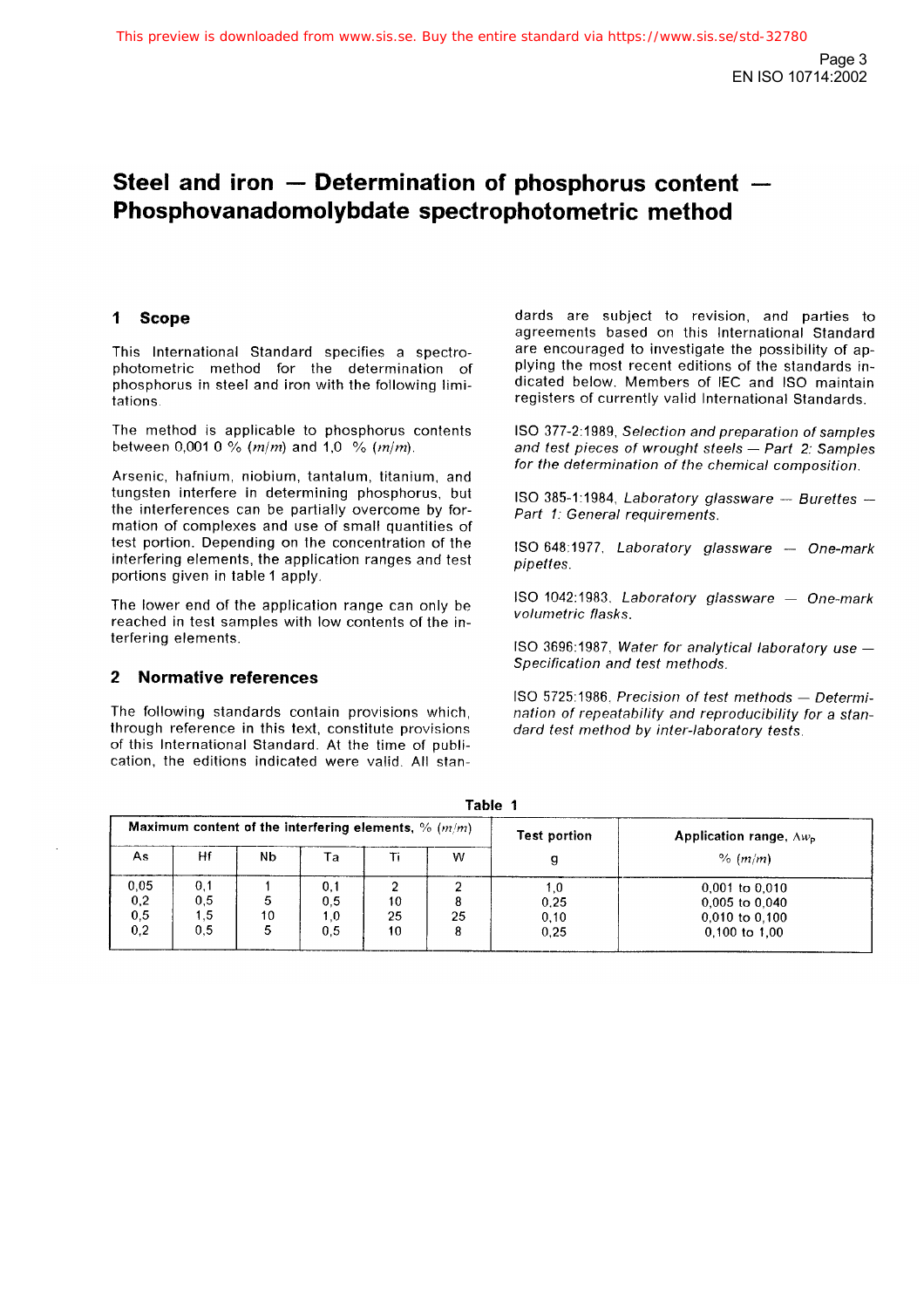## Steel and iron  $-$  Determination of phosphorus content  $-$ Phosphovanadomolybdate spectrophotometric method

#### **Scope**  $\mathbf{1}$

This International Standard specifies a spectrophotometric method for the determination of phosphorus in steel and iron with the following limitations

The method is applicable to phosphorus contents between 0,001 0 % ( $m/m$ ) and 1,0 % ( $m/m$ ).

Arsenic, hafnium, niobium, tantalum, titanium, and tungsten interfere in determining phosphorus, but the interferences can be partially overcome by formation of complexes and use of small quantities of test portion. Depending on the concentration of the interfering elements, the application ranges and test portions given in table 1 apply.

The lower end of the application range can only be reached in test samples with low contents of the interfering elements.

#### $\overline{2}$ **Normative references**

The following standards contain provisions which, through reference in this text, constitute provisions of this International Standard. At the time of publication, the editions indicated were valid. All standards are subject to revision, and parties to agreements based on this International Standard are encouraged to investigate the possibility of applying the most recent editions of the standards indicated below. Members of IEC and ISO maintain registers of currently valid International Standards.

ISO 377-2:1989, Selection and preparation of samples and test pieces of wrought steels - Part 2: Samples for the determination of the chemical composition.

ISO 385-1:1984, Laboratory glassware - Burettes -Part 1: General requirements.

ISO 648:1977, Laboratory glassware - One-mark pipettes.

ISO 1042:1983, Laboratory glassware - One-mark volumetric flasks.

ISO 3696:1987, Water for analytical laboratory use -Specification and test methods.

ISO 5725:1986, Precision of test methods - Determination of repeatability and reproducibility for a standard test method by inter-laboratory tests.

| тарне п                                                |                          |         |                          |                |    |                               |                                                                                     |
|--------------------------------------------------------|--------------------------|---------|--------------------------|----------------|----|-------------------------------|-------------------------------------------------------------------------------------|
| Maximum content of the interfering elements, % $(m/m)$ |                          |         |                          |                |    | <b>Test portion</b>           | <b>Application range, <math>\Delta w_{\rm p}</math></b>                             |
| As.                                                    | Hf                       | Nb      | Ta                       |                | w  |                               | % (m/m)                                                                             |
| 0,05<br>0,2<br>0,5<br>0,2                              | 0.1<br>0,5<br>1,5<br>0.5 | 5<br>10 | 0,1<br>0,5<br>1.0<br>0,5 | 10<br>25<br>10 | 25 | i .0<br>0.25<br>0, 10<br>0.25 | $0,001$ to $0,010$<br>$0,005$ to $0.040$<br>$0.010$ to $0.100$<br>$0,100$ to $1,00$ |

 $\sim$   $\sim$